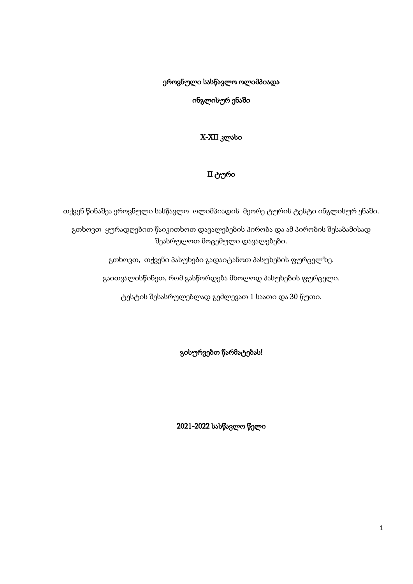ეროვნული სასწავლო ოლიმპიადა

ინგლისურ ენაში

X-XII კლასი

# II ტური

თქვენ წინაშეა ეროვნული სასწავლო ოლიმპიადის მეორე ტურის ტესტი ინგლისურ ენაში.

გთხოვთ ყურადღებით წაიკითხოთ დავალებების პირობა და ამ პირობის შესაბამისად შეასრულოთ მოცემული დავალებები.

გთხოვთ, თქვენი პასუხები გადაიტანოთ პასუხების ფურცელზე.

გაითვალისწინეთ, რომ გასწორდება მხოლოდ პასუხების ფურცელი.

ტესტის შესასრულებლად გეძლევათ 1 საათი და 30 წუთი.

გისურვებთ წარმატებას!

2021-2022 სასწავლო წელი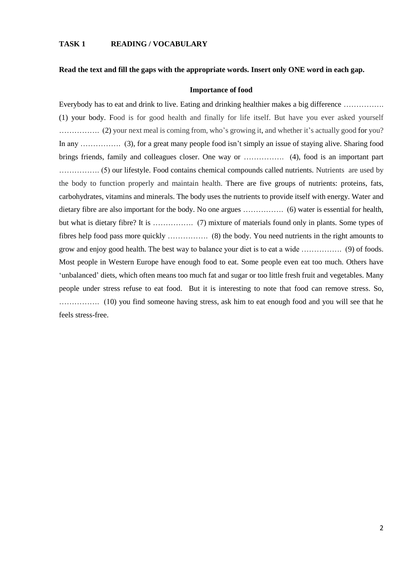#### **TASK 1 READING / VOCABULARY**

#### **Read the text and fill the gaps with the appropriate words. Insert only ONE word in each gap.**

#### **Importance of food**

Everybody has to eat and drink to live. Eating and drinking healthier makes a big difference ................ (1) your body. Food is for good health and finally for life itself. But have you ever asked yourself ……………. (2) your next meal is coming from, who's growing it, and whether it's actually good for you? In any …………... (3), for a great many people food isn't simply an issue of staying alive. Sharing food brings friends, family and colleagues closer. One way or ……………. (4), food is an important part ……………. (5) our lifestyle. Food contains chemical compounds called nutrients. Nutrients are used by the body to function properly and maintain health. There are five groups of nutrients: proteins, fats, carbohydrates, vitamins and minerals. The body uses the nutrients to provide itself with energy. Water and dietary fibre are also important for the body. No one argues ……………. (6) water is essential for health, but what is dietary fibre? It is ……………... (7) mixture of materials found only in plants. Some types of fibres help food pass more quickly …………….. (8) the body. You need nutrients in the right amounts to grow and enjoy good health. The best way to balance your diet is to eat a wide ……………. (9) of foods. Most people in Western Europe have enough food to eat. Some people even eat too much. Others have 'unbalanced' diets, which often means too much fat and sugar or too little fresh fruit and vegetables. Many people under stress refuse to eat food. But it is interesting to note that food can remove stress. So, ……………. (10) you find someone having stress, ask him to eat enough food and you will see that he feels stress-free.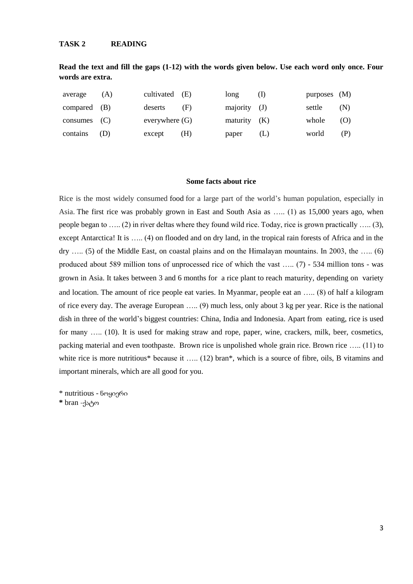### **TASK 2 READING**

**Read the text and fill the gaps (1-12) with the words given below. Use each word only once. Four words are extra.**

| average        | (A) | cultivated $(E)$ |     | long           | (1) | purposes $(M)$ |     |
|----------------|-----|------------------|-----|----------------|-----|----------------|-----|
| compared $(B)$ |     | deserts          | (F) | $majority$ (J) |     | settle         | (N) |
| consumes $(C)$ |     | everywhere $(G)$ |     | maturity $(K)$ |     | whole          | (O) |
| contains       | (D) | except           | (H) | paper          | (L) | world          | (P) |

#### **Some facts about rice**

Rice is the most widely consumed [food](https://en.wikipedia.org/wiki/Staple_food) for a large part of the world's human population, especially in Asia. The first rice was probably grown in East and South Asia as ….. (1) as 15,000 years ago, when people began to ….. (2) in river deltas where they found wild rice. Today, rice is grown practically ….. (3), except Antarctica! It is ….. (4) on flooded and on dry land, in the tropical rain forests of Africa and in the dry ….. (5) of the Middle East, on coastal plains and on the Himalayan mountains. In 2003, the ….. (6) produced about 589 million tons of unprocessed rice of which the vast ….. (7) - 534 million tons - was grown in Asia. It takes between 3 and 6 months for a rice plant to reach maturity, depending on variety and location. The amount of rice people eat varies. In Myanmar, people eat an ….. (8) of half a kilogram of rice every day. The average European ….. (9) much less, only about 3 kg per year. Rice is the national dish in three of the world's biggest countries: China, India and Indonesia. Apart from eating, rice is used for many ….. (10). It is used for making straw and rope, paper, wine, crackers, milk, beer, cosmetics, packing material and even toothpaste. Brown rice is unpolished whole grain rice. Brown rice ….. (11) to white rice is more nutritious\* because it ..... (12) bran\*, which is a source of fibre, oils, B vitamins and important minerals, which are all good for you.

\* nutritious - ნოყიერი

**\*** bran -ქატო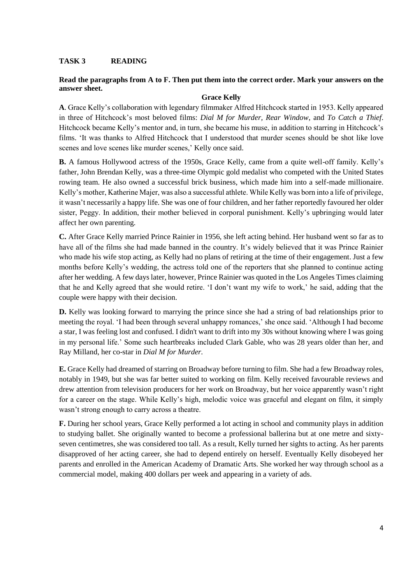### **TASK 3 READING**

### **Read the paragraphs from A to F. Then put them into the correct order. Mark your answers on the answer sheet.**

#### **Grace Kelly**

**A**. Grace Kelly's collaboration with legendary filmmaker Alfred Hitchcock started in 1953. Kelly appeared in three of Hitchcock's most beloved films: *Dial M for Murder, Rear Window*, and *To Catch a Thief*. Hitchcock became Kelly's mentor and, in turn, she became his muse, in addition to starring in Hitchcock's films. 'It was thanks to Alfred Hitchcock that I understood that murder scenes should be shot like love scenes and love scenes like murder scenes,' Kelly once said.

**B.** A famous Hollywood actress of the 1950s, Grace Kelly, came from a quite well-off family. Kelly's father, John Brendan Kelly, was a three-time Olympic gold medalist who competed with the United States rowing team. He also owned a successful brick business, which made him into a self-made millionaire. Kelly's mother, Katherine Majer, was also a successful athlete. While Kelly was born into a life of privilege, it wasn't necessarily a happy life. She was one of four children, and her father reportedly favoured her older sister, Peggy. In addition, their mother believed in corporal punishment. Kelly's upbringing would later affect her own parenting.

**C.** After Grace Kelly married Prince Rainier in 1956, she left acting behind. Her husband went so far as to have all of the films she had made banned in the country. It's widely believed that it was Prince Rainier who made his wife stop acting, as Kelly had no plans of retiring at the time of their engagement. Just a few months before Kelly's wedding, the actress told one of the reporters that she planned to continue acting after her wedding. A few days later, however, Prince Rainier was quoted in the Los Angeles Times claiming that he and Kelly agreed that she would retire. 'I don't want my wife to work,' he said, adding that the couple were happy with their decision.

**D.** Kelly was looking forward to marrying the prince since she had a string of bad relationships prior to meeting the royal. 'I had been through several unhappy romances,' she once said. 'Although I had become a star, I was feeling lost and confused. I didn't want to drift into my 30s without knowing where I was going in my personal life.' Some such heartbreaks included Clark Gable, who was 28 years older than her, and Ray Milland, her co-star in *Dial M for Murder.*

**E.** Grace Kelly had dreamed of starring on Broadway before turning to film. She had a few Broadway roles, notably in 1949, but she was far better suited to working on film. Kelly received favourable reviews and drew attention from television producers for her work on Broadway, but her voice apparently wasn't right for a career on the stage. While Kelly's high, melodic voice was graceful and elegant on film, it simply wasn't strong enough to carry across a theatre.

**F.** During her school years, Grace Kelly performed a lot acting in school and community plays in addition to studying ballet. She originally wanted to become a professional ballerina but at one metre and sixtyseven centimetres, she was considered too tall. As a result, Kelly turned her sights to acting. As her parents disapproved of her acting career, she had to depend entirely on herself. Eventually Kelly disobeyed her parents and enrolled in the American Academy of Dramatic Arts. She worked her way through school as a commercial model, making 400 dollars per week and appearing in a variety of ads.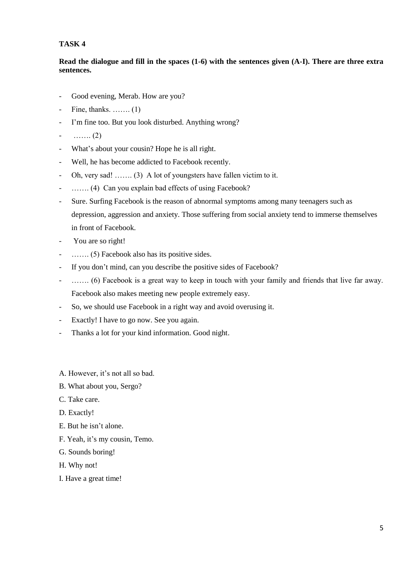# **TASK 4**

# **Read the dialogue and fill in the spaces (1-6) with the sentences given (A-I). There are three extra sentences.**

- Good evening, Merab. How are you?
- Fine, thanks. ……. (1)
- I'm fine too. But you look disturbed. Anything wrong?
- ……. (2)
- What's about your cousin? Hope he is all right.
- Well, he has become addicted to Facebook recently.
- Oh, very sad! ……. (3) A lot of youngsters have fallen victim to it.
- ....... (4) Can you explain bad effects of using Facebook?
- Sure. Surfing Facebook is the reason of abnormal symptoms among many teenagers such as depression, aggression and anxiety. Those suffering from social anxiety tend to immerse themselves in front of Facebook.
- You are so right!
- ……. (5) Facebook also has its positive sides.
- If you don't mind, can you describe the positive sides of Facebook?
- ....... (6) Facebook is a great way to keep in touch with your family and friends that live far away. Facebook also makes meeting new people extremely easy.
- So, we should use Facebook in a right way and avoid overusing it.
- Exactly! I have to go now. See you again.
- Thanks a lot for your kind information. Good night.
- A. However, it's not all so bad.
- B. What about you, Sergo?
- C. Take care.
- D. Exactly!
- E. But he isn't alone.
- F. Yeah, it's my cousin, Temo.
- G. Sounds boring!
- H. Why not!
- I. Have a great time!